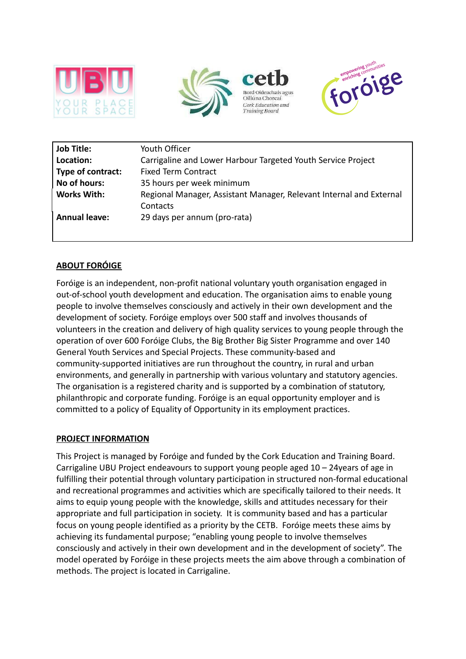





| Job Title:           | Youth Officer                                                       |
|----------------------|---------------------------------------------------------------------|
| Location:            | Carrigaline and Lower Harbour Targeted Youth Service Project        |
| Type of contract:    | <b>Fixed Term Contract</b>                                          |
| No of hours:         | 35 hours per week minimum                                           |
| <b>Works With:</b>   | Regional Manager, Assistant Manager, Relevant Internal and External |
|                      | Contacts                                                            |
| <b>Annual leave:</b> | 29 days per annum (pro-rata)                                        |
|                      |                                                                     |

# **ABOUT FORÓIGE**

Foróige is an independent, non-profit national voluntary youth organisation engaged in out-of-school youth development and education. The organisation aims to enable young people to involve themselves consciously and actively in their own development and the development of society. Foróige employs over 500 staff and involves thousands of volunteers in the creation and delivery of high quality services to young people through the operation of over 600 Foróige Clubs, the Big Brother Big Sister Programme and over 140 General Youth Services and Special Projects. These community-based and community-supported initiatives are run throughout the country, in rural and urban environments, and generally in partnership with various voluntary and statutory agencies. The organisation is a registered charity and is supported by a combination of statutory, philanthropic and corporate funding. Foróige is an equal opportunity employer and is committed to a policy of Equality of Opportunity in its employment practices.

### **PROJECT INFORMATION**

This Project is managed by Foróige and funded by the Cork Education and Training Board. Carrigaline UBU Project endeavours to support young people aged 10 – 24years of age in fulfilling their potential through voluntary participation in structured non-formal educational and recreational programmes and activities which are specifically tailored to their needs. It aims to equip young people with the knowledge, skills and attitudes necessary for their appropriate and full participation in society. It is community based and has a particular focus on young people identified as a priority by the CETB. Foróige meets these aims by achieving its fundamental purpose; "enabling young people to involve themselves consciously and actively in their own development and in the development of society". The model operated by Foróige in these projects meets the aim above through a combination of methods. The project is located in Carrigaline.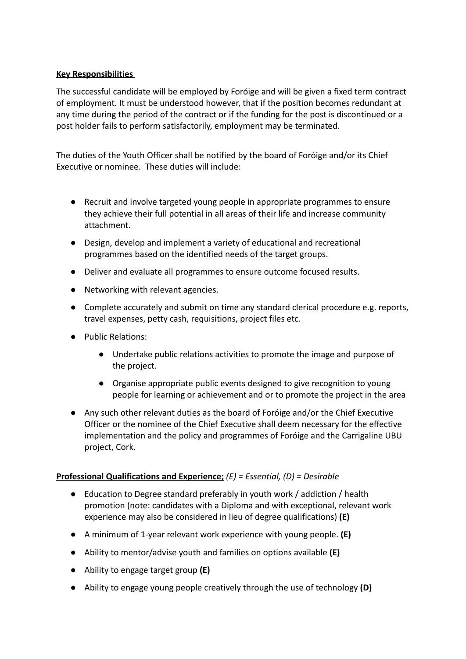## **Key Responsibilities**

The successful candidate will be employed by Foróige and will be given a fixed term contract of employment. It must be understood however, that if the position becomes redundant at any time during the period of the contract or if the funding for the post is discontinued or a post holder fails to perform satisfactorily, employment may be terminated.

The duties of the Youth Officer shall be notified by the board of Foróige and/or its Chief Executive or nominee. These duties will include:

- Recruit and involve targeted young people in appropriate programmes to ensure they achieve their full potential in all areas of their life and increase community attachment.
- Design, develop and implement a variety of educational and recreational programmes based on the identified needs of the target groups.
- Deliver and evaluate all programmes to ensure outcome focused results.
- Networking with relevant agencies.
- Complete accurately and submit on time any standard clerical procedure e.g. reports, travel expenses, petty cash, requisitions, project files etc.
- Public Relations:
	- Undertake public relations activities to promote the image and purpose of the project.
	- Organise appropriate public events designed to give recognition to young people for learning or achievement and or to promote the project in the area
- Any such other relevant duties as the board of Foróige and/or the Chief Executive Officer or the nominee of the Chief Executive shall deem necessary for the effective implementation and the policy and programmes of Foróige and the Carrigaline UBU project, Cork.

## **Professional Qualifications and Experience;** *(E) = Essential, (D) = Desirable*

- Education to Degree standard preferably in youth work / addiction / health promotion (note: candidates with a Diploma and with exceptional, relevant work experience may also be considered in lieu of degree qualifications) **(E)**
- A minimum of 1-year relevant work experience with young people. **(E)**
- Ability to mentor/advise youth and families on options available **(E)**
- Ability to engage target group **(E)**
- Ability to engage young people creatively through the use of technology **(D)**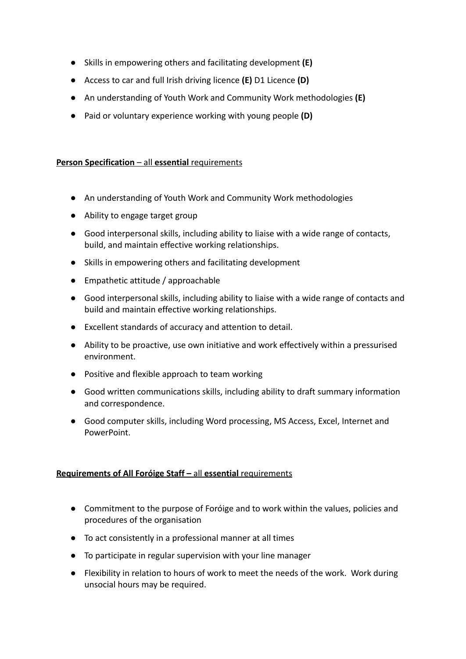- Skills in empowering others and facilitating development **(E)**
- Access to car and full Irish driving licence **(E)** D1 Licence **(D)**
- An understanding of Youth Work and Community Work methodologies **(E)**
- Paid or voluntary experience working with young people **(D)**

### **Person Specification** – all **essential** requirements

- An understanding of Youth Work and Community Work methodologies
- Ability to engage target group
- Good interpersonal skills, including ability to liaise with a wide range of contacts, build, and maintain effective working relationships.
- Skills in empowering others and facilitating development
- Empathetic attitude / approachable
- Good interpersonal skills, including ability to liaise with a wide range of contacts and build and maintain effective working relationships.
- Excellent standards of accuracy and attention to detail.
- Ability to be proactive, use own initiative and work effectively within a pressurised environment.
- Positive and flexible approach to team working
- Good written communications skills, including ability to draft summary information and correspondence.
- Good computer skills, including Word processing, MS Access, Excel, Internet and PowerPoint.

### **Requirements of All Foróige Staff –** all **essential** requirements

- Commitment to the purpose of Foróige and to work within the values, policies and procedures of the organisation
- To act consistently in a professional manner at all times
- To participate in regular supervision with your line manager
- Flexibility in relation to hours of work to meet the needs of the work. Work during unsocial hours may be required.